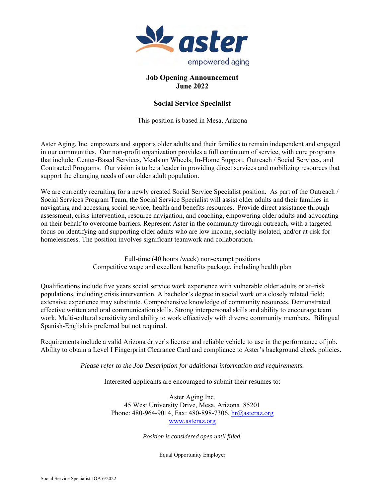

## **Job Opening Announcement June 2022**

# **Social Service Specialist**

This position is based in Mesa, Arizona

Aster Aging, Inc. empowers and supports older adults and their families to remain independent and engaged in our communities. Our non-profit organization provides a full continuum of service, with core programs that include: Center-Based Services, Meals on Wheels, In-Home Support, Outreach / Social Services, and Contracted Programs. Our vision is to be a leader in providing direct services and mobilizing resources that support the changing needs of our older adult population.

We are currently recruiting for a newly created Social Service Specialist position. As part of the Outreach / Social Services Program Team, the Social Service Specialist will assist older adults and their families in navigating and accessing social service, health and benefits resources. Provide direct assistance through assessment, crisis intervention, resource navigation, and coaching, empowering older adults and advocating on their behalf to overcome barriers. Represent Aster in the community through outreach, with a targeted focus on identifying and supporting older adults who are low income, socially isolated, and/or at-risk for homelessness. The position involves significant teamwork and collaboration.

> Full-time (40 hours /week) non-exempt positions Competitive wage and excellent benefits package, including health plan

Qualifications include five years social service work experience with vulnerable older adults or at–risk populations, including crisis intervention. A bachelor's degree in social work or a closely related field; extensive experience may substitute. Comprehensive knowledge of community resources. Demonstrated effective written and oral communication skills. Strong interpersonal skills and ability to encourage team work. Multi-cultural sensitivity and ability to work effectively with diverse community members. Bilingual Spanish-English is preferred but not required.

Requirements include a valid Arizona driver's license and reliable vehicle to use in the performance of job. Ability to obtain a Level I Fingerprint Clearance Card and compliance to Aster's background check policies.

*Please refer to the Job Description for additional information and requirements.* 

Interested applicants are encouraged to submit their resumes to:

Aster Aging Inc. 45 West University Drive, Mesa, Arizona 85201 Phone: 480-964-9014, Fax: 480-898-7306, hr@asteraz.org www.asteraz.org

*Position is considered open until filled.* 

Equal Opportunity Employer